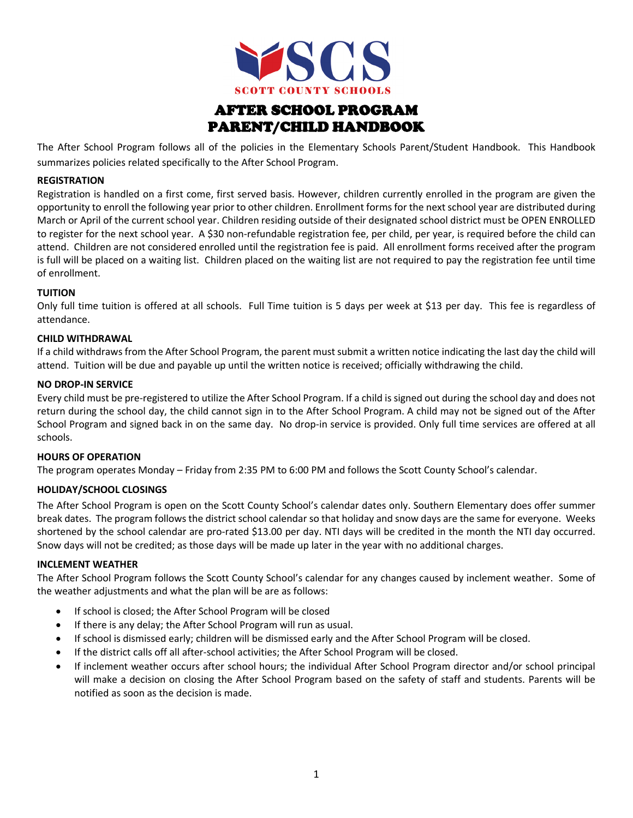

# AFTER SCHOOL PROGRAM PARENT/CHILD HANDBOOK

The After School Program follows all of the policies in the Elementary Schools Parent/Student Handbook. This Handbook summarizes policies related specifically to the After School Program.

## **REGISTRATION**

Registration is handled on a first come, first served basis. However, children currently enrolled in the program are given the opportunity to enroll the following year prior to other children. Enrollment forms for the next school year are distributed during March or April of the current school year. Children residing outside of their designated school district must be OPEN ENROLLED to register for the next school year. A \$30 non-refundable registration fee, per child, per year, is required before the child can attend. Children are not considered enrolled until the registration fee is paid. All enrollment forms received after the program is full will be placed on a waiting list. Children placed on the waiting list are not required to pay the registration fee until time of enrollment.

## **TUITION**

Only full time tuition is offered at all schools. Full Time tuition is 5 days per week at \$13 per day. This fee is regardless of attendance.

## **CHILD WITHDRAWAL**

If a child withdraws from the After School Program, the parent must submit a written notice indicating the last day the child will attend. Tuition will be due and payable up until the written notice is received; officially withdrawing the child.

## **NO DROP-IN SERVICE**

Every child must be pre-registered to utilize the After School Program. If a child is signed out during the school day and does not return during the school day, the child cannot sign in to the After School Program. A child may not be signed out of the After School Program and signed back in on the same day. No drop-in service is provided. Only full time services are offered at all schools.

## **HOURS OF OPERATION**

The program operates Monday – Friday from 2:35 PM to 6:00 PM and follows the Scott County School's calendar.

## **HOLIDAY/SCHOOL CLOSINGS**

The After School Program is open on the Scott County School's calendar dates only. Southern Elementary does offer summer break dates. The program follows the district school calendar so that holiday and snow days are the same for everyone. Weeks shortened by the school calendar are pro-rated \$13.00 per day. NTI days will be credited in the month the NTI day occurred. Snow days will not be credited; as those days will be made up later in the year with no additional charges.

## **INCLEMENT WEATHER**

The After School Program follows the Scott County School's calendar for any changes caused by inclement weather. Some of the weather adjustments and what the plan will be are as follows:

- If school is closed; the After School Program will be closed
- If there is any delay; the After School Program will run as usual.
- If school is dismissed early; children will be dismissed early and the After School Program will be closed.
- If the district calls off all after-school activities; the After School Program will be closed.
- If inclement weather occurs after school hours; the individual After School Program director and/or school principal will make a decision on closing the After School Program based on the safety of staff and students. Parents will be notified as soon as the decision is made.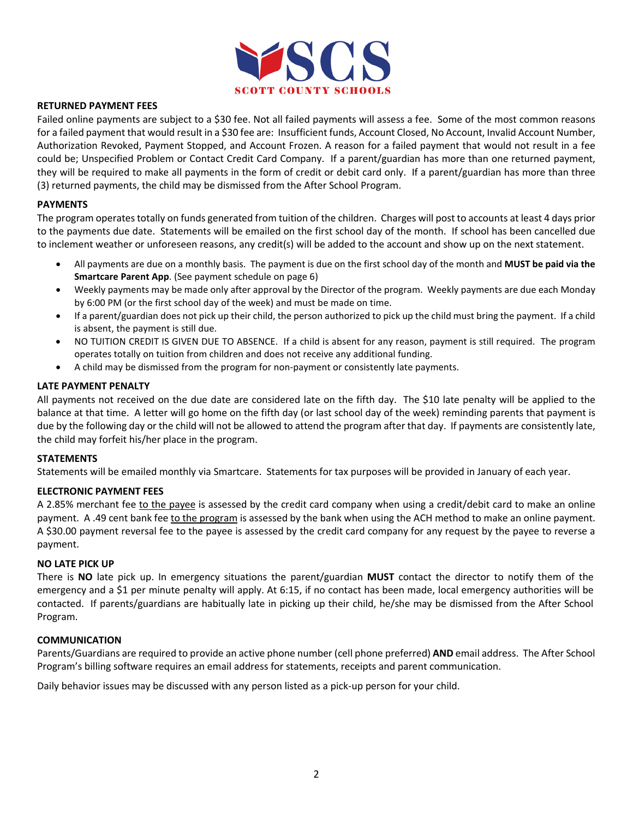

## **RETURNED PAYMENT FEES**

Failed online payments are subject to a \$30 fee. Not all failed payments will assess a fee. Some of the most common reasons for a failed payment that would result in a \$30 fee are: Insufficient funds, Account Closed, No Account, Invalid Account Number, Authorization Revoked, Payment Stopped, and Account Frozen. A reason for a failed payment that would not result in a fee could be; Unspecified Problem or Contact Credit Card Company. If a parent/guardian has more than one returned payment, they will be required to make all payments in the form of credit or debit card only. If a parent/guardian has more than three (3) returned payments, the child may be dismissed from the After School Program.

## **PAYMENTS**

The program operates totally on funds generated from tuition of the children. Charges will post to accounts at least 4 days prior to the payments due date. Statements will be emailed on the first school day of the month. If school has been cancelled due to inclement weather or unforeseen reasons, any credit(s) will be added to the account and show up on the next statement.

- All payments are due on a monthly basis. The payment is due on the first school day of the month and **MUST be paid via the Smartcare Parent App**. (See payment schedule on page 6)
- Weekly payments may be made only after approval by the Director of the program. Weekly payments are due each Monday by 6:00 PM (or the first school day of the week) and must be made on time.
- If a parent/guardian does not pick up their child, the person authorized to pick up the child must bring the payment. If a child is absent, the payment is still due.
- NO TUITION CREDIT IS GIVEN DUE TO ABSENCE. If a child is absent for any reason, payment is still required. The program operates totally on tuition from children and does not receive any additional funding.
- A child may be dismissed from the program for non-payment or consistently late payments.

## **LATE PAYMENT PENALTY**

All payments not received on the due date are considered late on the fifth day. The \$10 late penalty will be applied to the balance at that time. A letter will go home on the fifth day (or last school day of the week) reminding parents that payment is due by the following day or the child will not be allowed to attend the program after that day. If payments are consistently late, the child may forfeit his/her place in the program.

## **STATEMENTS**

Statements will be emailed monthly via Smartcare. Statements for tax purposes will be provided in January of each year.

# **ELECTRONIC PAYMENT FEES**

A 2.85% merchant fee to the payee is assessed by the credit card company when using a credit/debit card to make an online payment. A .49 cent bank fee to the program is assessed by the bank when using the ACH method to make an online payment. A \$30.00 payment reversal fee to the payee is assessed by the credit card company for any request by the payee to reverse a payment.

## **NO LATE PICK UP**

There is **NO** late pick up. In emergency situations the parent/guardian **MUST** contact the director to notify them of the emergency and a \$1 per minute penalty will apply. At 6:15, if no contact has been made, local emergency authorities will be contacted. If parents/guardians are habitually late in picking up their child, he/she may be dismissed from the After School Program.

## **COMMUNICATION**

Parents/Guardians are required to provide an active phone number (cell phone preferred) **AND** email address. The After School Program's billing software requires an email address for statements, receipts and parent communication.

Daily behavior issues may be discussed with any person listed as a pick-up person for your child.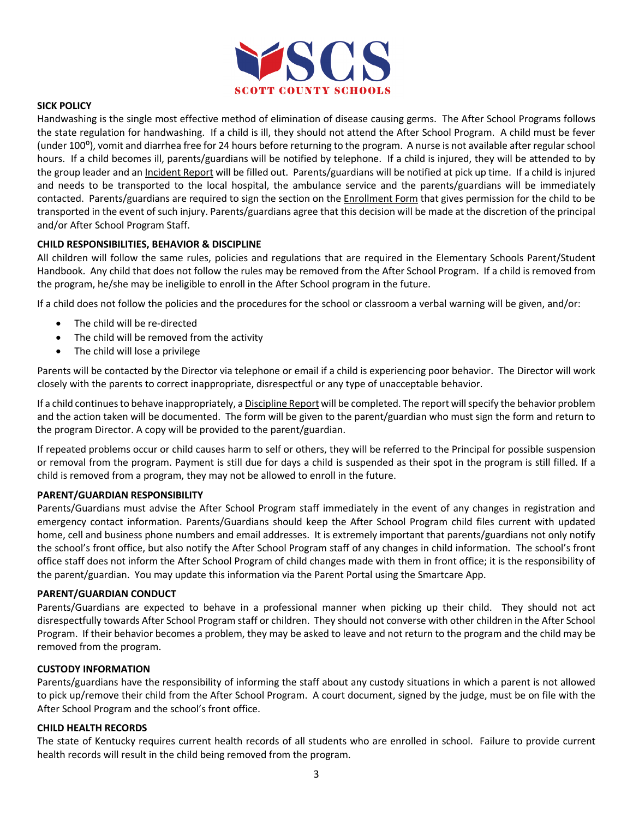

## **SICK POLICY**

Handwashing is the single most effective method of elimination of disease causing germs. The After School Programs follows the state regulation for handwashing. If a child is ill, they should not attend the After School Program. A child must be fever (under 100<sup>o</sup>), vomit and diarrhea free for 24 hours before returning to the program. A nurse is not available after regular school hours. If a child becomes ill, parents/guardians will be notified by telephone. If a child is injured, they will be attended to by the group leader and an Incident Report will be filled out. Parents/guardians will be notified at pick up time. If a child is injured and needs to be transported to the local hospital, the ambulance service and the parents/guardians will be immediately contacted. Parents/guardians are required to sign the section on the Enrollment Form that gives permission for the child to be transported in the event of such injury. Parents/guardians agree that this decision will be made at the discretion of the principal and/or After School Program Staff.

## **CHILD RESPONSIBILITIES, BEHAVIOR & DISCIPLINE**

All children will follow the same rules, policies and regulations that are required in the Elementary Schools Parent/Student Handbook. Any child that does not follow the rules may be removed from the After School Program. If a child is removed from the program, he/she may be ineligible to enroll in the After School program in the future.

If a child does not follow the policies and the procedures for the school or classroom a verbal warning will be given, and/or:

- The child will be re-directed
- The child will be removed from the activity
- The child will lose a privilege

Parents will be contacted by the Director via telephone or email if a child is experiencing poor behavior. The Director will work closely with the parents to correct inappropriate, disrespectful or any type of unacceptable behavior.

If a child continues to behave inappropriately, a Discipline Report will be completed. The report will specify the behavior problem and the action taken will be documented. The form will be given to the parent/guardian who must sign the form and return to the program Director. A copy will be provided to the parent/guardian.

If repeated problems occur or child causes harm to self or others, they will be referred to the Principal for possible suspension or removal from the program. Payment is still due for days a child is suspended as their spot in the program is still filled. If a child is removed from a program, they may not be allowed to enroll in the future.

## **PARENT/GUARDIAN RESPONSIBILITY**

Parents/Guardians must advise the After School Program staff immediately in the event of any changes in registration and emergency contact information. Parents/Guardians should keep the After School Program child files current with updated home, cell and business phone numbers and email addresses. It is extremely important that parents/guardians not only notify the school's front office, but also notify the After School Program staff of any changes in child information. The school's front office staff does not inform the After School Program of child changes made with them in front office; it is the responsibility of the parent/guardian. You may update this information via the Parent Portal using the Smartcare App.

## **PARENT/GUARDIAN CONDUCT**

Parents/Guardians are expected to behave in a professional manner when picking up their child. They should not act disrespectfully towards After School Program staff or children. They should not converse with other children in the After School Program. If their behavior becomes a problem, they may be asked to leave and not return to the program and the child may be removed from the program.

## **CUSTODY INFORMATION**

Parents/guardians have the responsibility of informing the staff about any custody situations in which a parent is not allowed to pick up/remove their child from the After School Program. A court document, signed by the judge, must be on file with the After School Program and the school's front office.

## **CHILD HEALTH RECORDS**

The state of Kentucky requires current health records of all students who are enrolled in school. Failure to provide current health records will result in the child being removed from the program.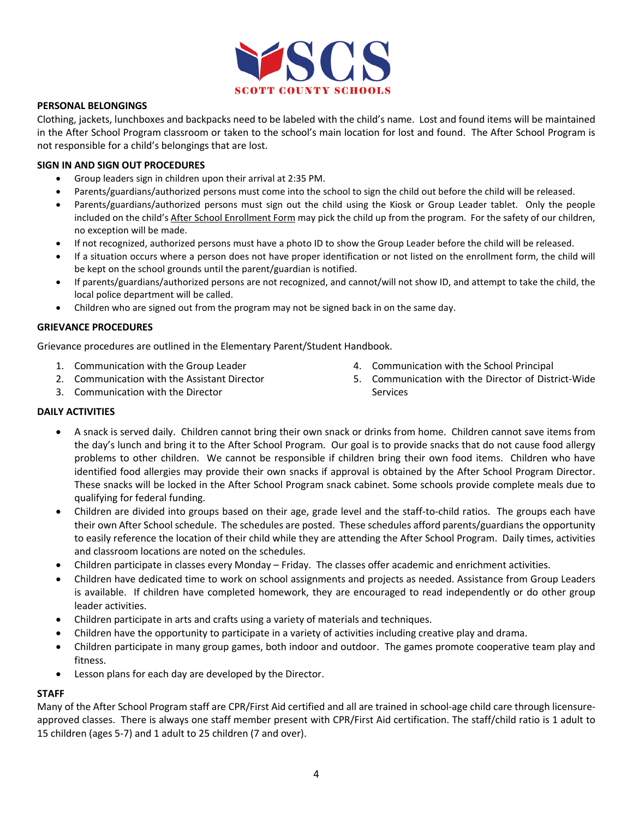

## **PERSONAL BELONGINGS**

Clothing, jackets, lunchboxes and backpacks need to be labeled with the child's name. Lost and found items will be maintained in the After School Program classroom or taken to the school's main location for lost and found. The After School Program is not responsible for a child's belongings that are lost.

## **SIGN IN AND SIGN OUT PROCEDURES**

- Group leaders sign in children upon their arrival at 2:35 PM.
- Parents/guardians/authorized persons must come into the school to sign the child out before the child will be released.
- Parents/guardians/authorized persons must sign out the child using the Kiosk or Group Leader tablet. Only the people included on the child's After School Enrollment Form may pick the child up from the program. For the safety of our children, no exception will be made.
- If not recognized, authorized persons must have a photo ID to show the Group Leader before the child will be released.
- If a situation occurs where a person does not have proper identification or not listed on the enrollment form, the child will be kept on the school grounds until the parent/guardian is notified.
- If parents/guardians/authorized persons are not recognized, and cannot/will not show ID, and attempt to take the child, the local police department will be called.
- Children who are signed out from the program may not be signed back in on the same day.

## **GRIEVANCE PROCEDURES**

Grievance procedures are outlined in the Elementary Parent/Student Handbook.

- 1. Communication with the Group Leader
- 2. Communication with the Assistant Director
- 3. Communication with the Director
- 4. Communication with the School Principal
- 5. Communication with the Director of District-Wide Services

## **DAILY ACTIVITIES**

- A snack is served daily. Children cannot bring their own snack or drinks from home. Children cannot save items from the day's lunch and bring it to the After School Program. Our goal is to provide snacks that do not cause food allergy problems to other children. We cannot be responsible if children bring their own food items. Children who have identified food allergies may provide their own snacks if approval is obtained by the After School Program Director. These snacks will be locked in the After School Program snack cabinet. Some schools provide complete meals due to qualifying for federal funding.
- Children are divided into groups based on their age, grade level and the staff-to-child ratios. The groups each have their own After School schedule. The schedules are posted. These schedules afford parents/guardians the opportunity to easily reference the location of their child while they are attending the After School Program. Daily times, activities and classroom locations are noted on the schedules.
- Children participate in classes every Monday Friday. The classes offer academic and enrichment activities.
- Children have dedicated time to work on school assignments and projects as needed. Assistance from Group Leaders is available. If children have completed homework, they are encouraged to read independently or do other group leader activities.
- Children participate in arts and crafts using a variety of materials and techniques.
- Children have the opportunity to participate in a variety of activities including creative play and drama.
- Children participate in many group games, both indoor and outdoor. The games promote cooperative team play and fitness.
- Lesson plans for each day are developed by the Director.

## **STAFF**

Many of the After School Program staff are CPR/First Aid certified and all are trained in school-age child care through licensureapproved classes. There is always one staff member present with CPR/First Aid certification. The staff/child ratio is 1 adult to 15 children (ages 5-7) and 1 adult to 25 children (7 and over).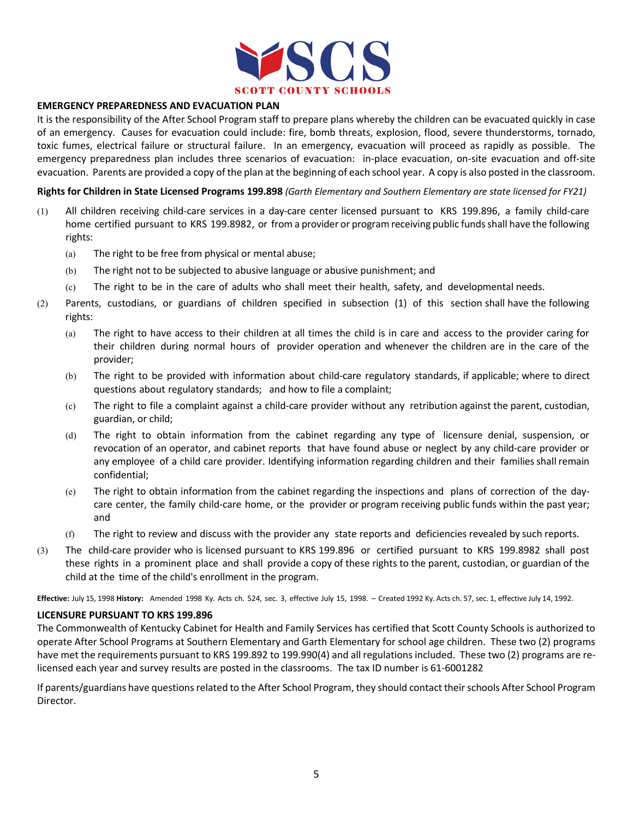

## **EMERGENCY PREPAREDNESS AND EVACUATION PLAN**

It is the responsibility of the After School Program staff to prepare plans whereby the children can be evacuated quickly in case of an emergency. Causes for evacuation could include: fire, bomb threats, explosion, flood, severe thunderstorms, tornado, toxic fumes, electrical failure or structural failure. In an emergency, evacuation will proceed as rapidly as possible. The emergency preparedness plan includes three scenarios of evacuation: in-place evacuation, on-site evacuation and off-site evacuation. Parents are provided a copy of the plan at the beginning of each school year. A copy is also posted in the classroom.

**Rights for Children in State Licensed Programs 199.898** *(Garth Elementary and Southern Elementary are state licensed for FY21)*

- (1) All children receiving child-care services in a day-care center licensed pursuant to KRS 199.896, a family child-care home certified pursuant to KRS 199.8982, or from a provider or program receiving public funds shall have the following rights:
	- (a) The right to be free from physical or mental abuse;
	- (b) The right not to be subjected to abusive language or abusive punishment; and
	- (c) The right to be in the care of adults who shall meet their health, safety, and developmental needs.
- (2) Parents, custodians, or guardians of children specified in subsection (1) of this section shall have the following rights:
	- (a) The right to have access to their children at all times the child is in care and access to the provider caring for their children during normal hours of provider operation and whenever the children are in the care of the provider;
	- (b) The right to be provided with information about child-care regulatory standards, if applicable; where to direct questions about regulatory standards; and how to file a complaint;
	- (c) The right to file a complaint against a child-care provider without any retribution against the parent, custodian, guardian, or child;
	- (d) The right to obtain information from the cabinet regarding any type of licensure denial, suspension, or revocation of an operator, and cabinet reports that have found abuse or neglect by any child-care provider or any employee of a child care provider. Identifying information regarding children and their families shall remain confidential;
	- (e) The right to obtain information from the cabinet regarding the inspections and plans of correction of the daycare center, the family child-care home, or the provider or program receiving public funds within the past year; and
	- (f) The right to review and discuss with the provider any state reports and deficiencies revealed by such reports.
- (3) The child-care provider who is licensed pursuant to KRS 199.896 or certified pursuant to KRS 199.8982 shall post these rights in a prominent place and shall provide a copy of these rights to the parent, custodian, or guardian of the child at the time of the child's enrollment in the program.

**Effective:** July 15, 1998 **History:** Amended 1998 Ky. Acts ch. 524, sec. 3, effective July 15, 1998. – Created 1992 Ky. Acts ch. 57, sec. 1, effective July 14, 1992.

## **LICENSURE PURSUANT TO KRS 199.896**

The Commonwealth of Kentucky Cabinet for Health and Family Services has certified that Scott County Schools is authorized to operate After School Programs at Southern Elementary and Garth Elementary for school age children. These two (2) programs have met the requirements pursuant to KRS 199.892 to 199.990(4) and all regulations included. These two (2) programs are relicensed each year and survey results are posted in the classrooms. The tax ID number is 61-6001282

If parents/guardians have questions related to the After School Program, they should contact their schools After School Program Director.